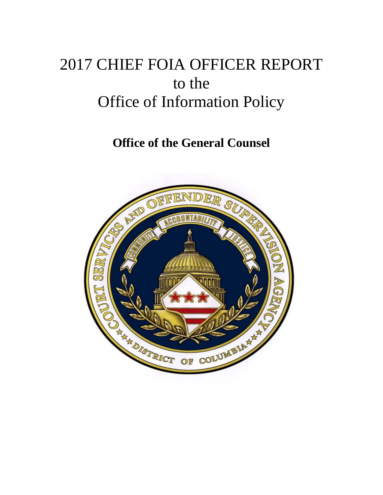# 2017 CHIEF FOIA OFFICER REPORT to the Office of Information Policy

**Office of the General Counsel**

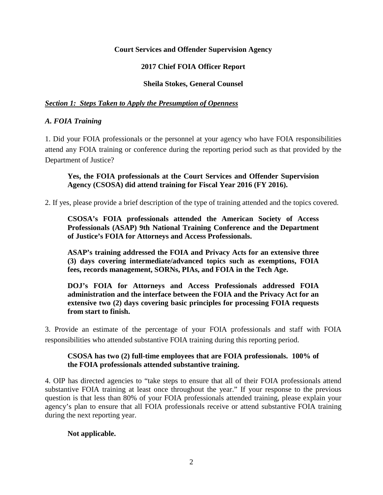# **Court Services and Offender Supervision Agency**

# **2017 Chief FOIA Officer Report**

### **Sheila Stokes, General Counsel**

### *Section 1: Steps Taken to Apply the Presumption of Openness*

### *A. FOIA Training*

1. Did your FOIA professionals or the personnel at your agency who have FOIA responsibilities attend any FOIA training or conference during the reporting period such as that provided by the Department of Justice?

### **Yes, the FOIA professionals at the Court Services and Offender Supervision Agency (CSOSA) did attend training for Fiscal Year 2016 (FY 2016).**

2. If yes, please provide a brief description of the type of training attended and the topics covered.

**CSOSA's FOIA professionals attended the American Society of Access Professionals (ASAP) 9th National Training Conference and the Department of Justice's FOIA for Attorneys and Access Professionals.**

**ASAP's training addressed the FOIA and Privacy Acts for an extensive three (3) days covering intermediate/advanced topics such as exemptions, FOIA fees, records management, SORNs, PIAs, and FOIA in the Tech Age.**

**DOJ's FOIA for Attorneys and Access Professionals addressed FOIA administration and the interface between the FOIA and the Privacy Act for an extensive two (2) days covering basic principles for processing FOIA requests from start to finish.**

3. Provide an estimate of the percentage of your FOIA professionals and staff with FOIA responsibilities who attended substantive FOIA training during this reporting period.

# **CSOSA has two (2) full-time employees that are FOIA professionals. 100% of the FOIA professionals attended substantive training.**

4. OIP has [directed agencies](https://www.justice.gov/oip/oip-guidance-9) to "take steps to ensure that all of their FOIA professionals attend substantive FOIA training at least once throughout the year." If your response to the previous question is that less than 80% of your FOIA professionals attended training, please explain your agency's plan to ensure that all FOIA professionals receive or attend substantive FOIA training during the next reporting year.

# **Not applicable.**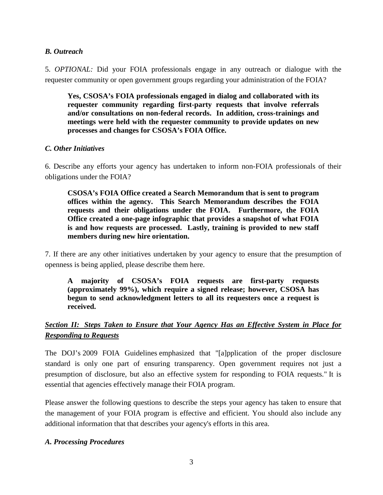### *B. Outreach*

5. *OPTIONAL:* Did your FOIA professionals engage in any outreach or dialogue with the requester community or open government groups regarding your administration of the FOIA?

**Yes, CSOSA's FOIA professionals engaged in dialog and collaborated with its requester community regarding first-party requests that involve referrals and/or consultations on non-federal records. In addition, cross-trainings and meetings were held with the requester community to provide updates on new processes and changes for CSOSA's FOIA Office.**

### *C. Other Initiatives*

6. Describe any efforts your agency has undertaken to inform non-FOIA professionals of their obligations under the FOIA?

**CSOSA's FOIA Office created a Search Memorandum that is sent to program offices within the agency. This Search Memorandum describes the FOIA requests and their obligations under the FOIA. Furthermore, the FOIA Office created a one-page infographic that provides a snapshot of what FOIA is and how requests are processed. Lastly, training is provided to new staff members during new hire orientation.** 

7. If there are any other initiatives undertaken by your agency to ensure that the presumption of openness is being applied, please describe them here.

**A majority of CSOSA's FOIA requests are first-party requests (approximately 99%), which require a signed release; however, CSOSA has begun to send acknowledgment letters to all its requesters once a request is received.** 

# *Section II: Steps Taken to Ensure that Your Agency Has an Effective System in Place for Responding to Requests*

The DOJ's [2009 FOIA Guidelines](http://justice.gov/ag/foia-memo-march2009.pdf) emphasized that "[a]pplication of the proper disclosure standard is only one part of ensuring transparency. Open government requires not just a presumption of disclosure, but also an effective system for responding to FOIA requests." It is essential that agencies effectively manage their FOIA program.

Please answer the following questions to describe the steps your agency has taken to ensure that the management of your FOIA program is effective and efficient. You should also include any additional information that that describes your agency's efforts in this area.

### *A. Processing Procedures*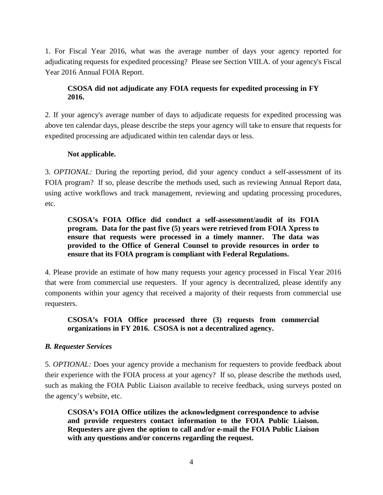1. For Fiscal Year 2016, what was the average number of days your agency reported for adjudicating requests for expedited processing? Please see Section VIII.A. of your agency's Fiscal Year 2016 Annual FOIA Report.

# **CSOSA did not adjudicate any FOIA requests for expedited processing in FY 2016.**

2. If your agency's average number of days to adjudicate requests for expedited processing was above ten calendar days, please describe the steps your agency will take to ensure that requests for expedited processing are adjudicated within ten calendar days or less.

# **Not applicable.**

3. *OPTIONAL:* During the reporting period, did your agency conduct a self-assessment of its FOIA program? If so, please describe the methods used, such as reviewing Annual Report data, using active workflows and track management, reviewing and updating processing procedures, etc.

# **CSOSA's FOIA Office did conduct a self-assessment/audit of its FOIA program. Data for the past five (5) years were retrieved from FOIA Xpress to ensure that requests were processed in a timely manner. The data was provided to the Office of General Counsel to provide resources in order to ensure that its FOIA program is compliant with Federal Regulations.**

4. Please provide an estimate of how many requests your agency processed in Fiscal Year 2016 that were from commercial use requesters. If your agency is decentralized, please identify any components within your agency that received a majority of their requests from commercial use requesters.

# **CSOSA's FOIA Office processed three (3) requests from commercial organizations in FY 2016. CSOSA is not a decentralized agency.**

# *B. Requester Services*

5. *OPTIONAL:* Does your agency provide a mechanism for requesters to provide feedback about their experience with the FOIA process at your agency? If so, please describe the methods used, such as making the FOIA Public Liaison available to receive feedback, using surveys posted on the agency's website, etc.

**CSOSA's FOIA Office utilizes the acknowledgment correspondence to advise and provide requesters contact information to the FOIA Public Liaison. Requesters are given the option to call and/or e-mail the FOIA Public Liaison with any questions and/or concerns regarding the request.**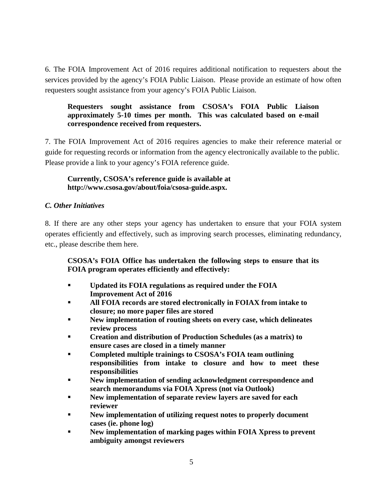6. The FOIA Improvement Act of 2016 requires additional notification to requesters about the services provided by the agency's FOIA Public Liaison. Please provide an estimate of how often requesters sought assistance from your agency's FOIA Public Liaison.

### **Requesters sought assistance from CSOSA's FOIA Public Liaison approximately 5-10 times per month. This was calculated based on e-mail correspondence received from requesters.**

7. The FOIA Improvement Act of 2016 requires agencies to make their reference material or guide for requesting records or information from the agency electronically available to the public. Please provide a link to your agency's FOIA reference guide.

# **Currently, CSOSA's reference guide is available at http://www.csosa.gov/about/foia/csosa-guide.aspx.**

# *C. Other Initiatives*

8. If there are any other steps your agency has undertaken to ensure that your FOIA system operates efficiently and effectively, such as improving search processes, eliminating redundancy, etc., please describe them here.

# **CSOSA's FOIA Office has undertaken the following steps to ensure that its FOIA program operates efficiently and effectively:**

- **Updated its FOIA regulations as required under the FOIA Improvement Act of 2016**
- **All FOIA records are stored electronically in FOIAX from intake to closure; no more paper files are stored**
- **New implementation of routing sheets on every case, which delineates review process**
- **Creation and distribution of Production Schedules (as a matrix) to ensure cases are closed in a timely manner**
- **Completed multiple trainings to CSOSA's FOIA team outlining responsibilities from intake to closure and how to meet these responsibilities**
- **New implementation of sending acknowledgment correspondence and search memorandums via FOIA Xpress (not via Outlook)**
- **New implementation of separate review layers are saved for each reviewer**
- **New implementation of utilizing request notes to properly document cases (ie. phone log)**
- **New implementation of marking pages within FOIA Xpress to prevent ambiguity amongst reviewers**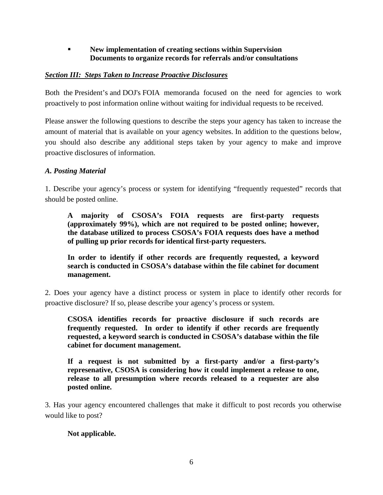# **New implementation of creating sections within Supervision Documents to organize records for referrals and/or consultations**

# *Section III: Steps Taken to Increase Proactive Disclosures*

Both the [President's](https://www.justice.gov/sites/default/files/oip/legacy/2014/07/23/presidential-foia.pdf) and [DOJ's](http://justice.gov/ag/foia-memo-march2009.pdf) FOIA memoranda focused on the need for agencies to work proactively to post information online without waiting for individual requests to be received.

Please answer the following questions to describe the steps your agency has taken to increase the amount of material that is available on your agency websites. In addition to the questions below, you should also describe any additional steps taken by your agency to make and improve proactive disclosures of information.

# *A. Posting Material*

1. Describe your agency's process or system for identifying "frequently requested" records that should be posted online.

**A majority of CSOSA's FOIA requests are first-party requests (approximately 99%), which are not required to be posted online; however, the database utilized to process CSOSA's FOIA requests does have a method of pulling up prior records for identical first-party requesters.**

**In order to identify if other records are frequently requested, a keyword search is conducted in CSOSA's database within the file cabinet for document management.**

2. Does your agency have a distinct process or system in place to identify other records for proactive disclosure? If so, please describe your agency's process or system.

**CSOSA identifies records for proactive disclosure if such records are frequently requested. In order to identify if other records are frequently requested, a keyword search is conducted in CSOSA's database within the file cabinet for document management.**

**If a request is not submitted by a first-party and/or a first-party's represenative, CSOSA is considering how it could implement a release to one, release to all presumption where records released to a requester are also posted online.**

3. Has your agency encountered challenges that make it difficult to post records you otherwise would like to post?

# **Not applicable.**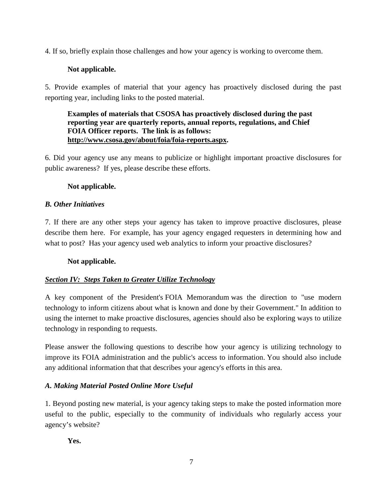4. If so, briefly explain those challenges and how your agency is working to overcome them.

# **Not applicable.**

5. Provide examples of material that your agency has proactively disclosed during the past reporting year, including links to the posted material.

### **Examples of materials that CSOSA has proactively disclosed during the past reporting year are quarterly reports, annual reports, regulations, and Chief FOIA Officer reports. The link is as follows: [http://www.csosa.gov/about/foia/foia-reports.aspx.](http://www.csosa.gov/about/foia/foia-reports.aspx)**

6. Did your agency use any means to publicize or highlight important proactive disclosures for public awareness? If yes, please describe these efforts.

# **Not applicable.**

# *B. Other Initiatives*

7. If there are any other steps your agency has taken to improve proactive disclosures, please describe them here. For example, has your agency engaged requesters in determining how and what to post? Has your agency used web analytics to inform your proactive disclosures?

# **Not applicable.**

# *Section IV: Steps Taken to Greater Utilize Technology*

A key component of the President's [FOIA Memorandum](https://www.justice.gov/sites/default/files/oip/legacy/2014/07/23/presidential-foia.pdf) was the direction to "use modern technology to inform citizens about what is known and done by their Government." In addition to using the internet to make proactive disclosures, agencies should also be exploring ways to utilize technology in responding to requests.

Please answer the following questions to describe how your agency is utilizing technology to improve its FOIA administration and the public's access to information. You should also include any additional information that that describes your agency's efforts in this area.

# *A. Making Material Posted Online More Useful*

1. Beyond posting new material, is your agency taking steps to make the posted information more useful to the public, especially to the community of individuals who regularly access your agency's website?

**Yes.**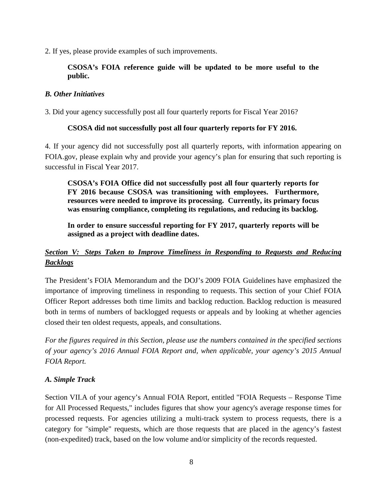2. If yes, please provide examples of such improvements.

# **CSOSA's FOIA reference guide will be updated to be more useful to the public.**

### *B. Other Initiatives*

3. Did your agency successfully post all four quarterly reports for Fiscal Year 2016?

# **CSOSA did not successfully post all four quarterly reports for FY 2016.**

4. If your agency did not successfully post all quarterly reports, with information appearing on FOIA.gov, please explain why and provide your agency's plan for ensuring that such reporting is successful in Fiscal Year 2017.

**CSOSA's FOIA Office did not successfully post all four quarterly reports for FY 2016 because CSOSA was transitioning with employees. Furthermore, resources were needed to improve its processing. Currently, its primary focus was ensuring compliance, completing its regulations, and reducing its backlog.** 

**In order to ensure successful reporting for FY 2017, quarterly reports will be assigned as a project with deadline dates.**

# *Section V: Steps Taken to Improve Timeliness in Responding to Requests and Reducing Backlogs*

The President's [FOIA Memorandum](https://www.justice.gov/sites/default/files/oip/legacy/2014/07/23/presidential-foia.pdf) and the DOJ's [2009 FOIA Guidelines](http://justice.gov/ag/foia-memo-march2009.pdf) have emphasized the importance of improving timeliness in responding to requests. This section of your Chief FOIA Officer Report addresses both time limits and backlog reduction. Backlog reduction is measured both in terms of numbers of backlogged requests or appeals and by looking at whether agencies closed their ten oldest requests, appeals, and consultations.

*For the figures required in this Section, please use the numbers contained in the specified sections of your agency's 2016 Annual FOIA Report and, when applicable, your agency's 2015 Annual FOIA Report.*

# *A. Simple Track*

Section VII.A of your agency's Annual FOIA Report, entitled "FOIA Requests – Response Time for All Processed Requests," includes figures that show your agency's average response times for processed requests. For agencies utilizing a multi-track system to process requests, there is a category for "simple" requests, which are those requests that are placed in the agency's fastest (non-expedited) track, based on the low volume and/or simplicity of the records requested.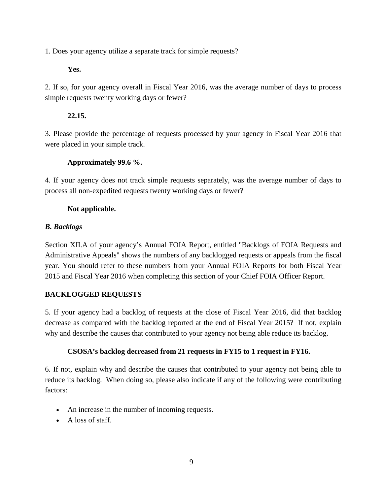1. Does your agency utilize a separate track for simple requests?

# **Yes.**

2. If so, for your agency overall in Fiscal Year 2016, was the average number of days to process simple requests twenty working days or fewer?

# **22.15.**

3. Please provide the percentage of requests processed by your agency in Fiscal Year 2016 that were placed in your simple track.

# **Approximately 99.6 %.**

4. If your agency does not track simple requests separately, was the average number of days to process all non-expedited requests twenty working days or fewer?

# **Not applicable.**

# *B. Backlogs*

Section XII.A of your agency's Annual FOIA Report, entitled "Backlogs of FOIA Requests and Administrative Appeals" shows the numbers of any backlogged requests or appeals from the fiscal year. You should refer to these numbers from your Annual FOIA Reports for both Fiscal Year 2015 and Fiscal Year 2016 when completing this section of your Chief FOIA Officer Report.

# **BACKLOGGED REQUESTS**

5. If your agency had a backlog of requests at the close of Fiscal Year 2016, did that backlog decrease as compared with the backlog reported at the end of Fiscal Year 2015? If not, explain why and describe the causes that contributed to your agency not being able reduce its backlog.

# **CSOSA's backlog decreased from 21 requests in FY15 to 1 request in FY16.**

6. If not, explain why and describe the causes that contributed to your agency not being able to reduce its backlog. When doing so, please also indicate if any of the following were contributing factors:

- An increase in the number of incoming requests.
- A loss of staff.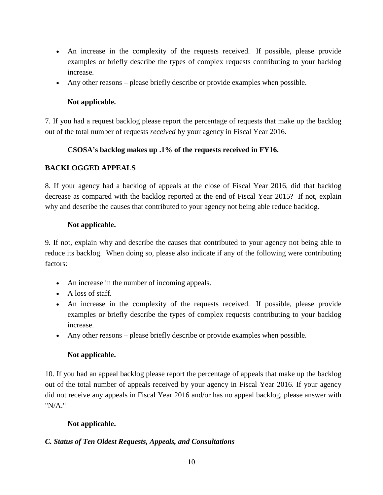- An increase in the complexity of the requests received. If possible, please provide examples or briefly describe the types of complex requests contributing to your backlog increase.
- Any other reasons please briefly describe or provide examples when possible.

# **Not applicable.**

7. If you had a request backlog please report the percentage of requests that make up the backlog out of the total number of requests *received* by your agency in Fiscal Year 2016.

# **CSOSA's backlog makes up .1% of the requests received in FY16.**

# **BACKLOGGED APPEALS**

8. If your agency had a backlog of appeals at the close of Fiscal Year 2016, did that backlog decrease as compared with the backlog reported at the end of Fiscal Year 2015? If not, explain why and describe the causes that contributed to your agency not being able reduce backlog.

# **Not applicable.**

9. If not, explain why and describe the causes that contributed to your agency not being able to reduce its backlog. When doing so, please also indicate if any of the following were contributing factors:

- An increase in the number of incoming appeals.
- A loss of staff.
- An increase in the complexity of the requests received. If possible, please provide examples or briefly describe the types of complex requests contributing to your backlog increase.
- Any other reasons please briefly describe or provide examples when possible.

# **Not applicable.**

10. If you had an appeal backlog please report the percentage of appeals that make up the backlog out of the total number of appeals received by your agency in Fiscal Year 2016. If your agency did not receive any appeals in Fiscal Year 2016 and/or has no appeal backlog, please answer with "N/A."

# **Not applicable.**

# *C. Status of Ten Oldest Requests, Appeals, and Consultations*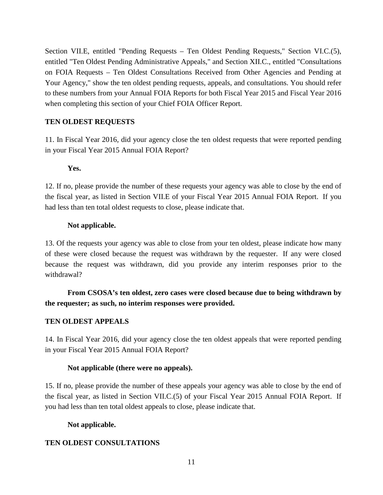Section VII.E, entitled "Pending Requests – Ten Oldest Pending Requests," Section VI.C.(5), entitled "Ten Oldest Pending Administrative Appeals," and Section XII.C., entitled "Consultations on FOIA Requests – Ten Oldest Consultations Received from Other Agencies and Pending at Your Agency," show the ten oldest pending requests, appeals, and consultations. You should refer to these numbers from your Annual FOIA Reports for both Fiscal Year 2015 and Fiscal Year 2016 when completing this section of your Chief FOIA Officer Report.

### **TEN OLDEST REQUESTS**

11. In Fiscal Year 2016, did your agency close the ten oldest requests that were reported pending in your Fiscal Year 2015 Annual FOIA Report?

### **Yes.**

12. If no, please provide the number of these requests your agency was able to close by the end of the fiscal year, as listed in Section VII.E of your Fiscal Year 2015 Annual FOIA Report. If you had less than ten total oldest requests to close, please indicate that.

### **Not applicable.**

13. Of the requests your agency was able to close from your ten oldest, please indicate how many of these were closed because the request was withdrawn by the requester. If any were closed because the request was withdrawn, did you provide any interim responses prior to the withdrawal?

# **From CSOSA's ten oldest, zero cases were closed because due to being withdrawn by the requester; as such, no interim responses were provided.**

# **TEN OLDEST APPEALS**

14. In Fiscal Year 2016, did your agency close the ten oldest appeals that were reported pending in your Fiscal Year 2015 Annual FOIA Report?

### **Not applicable (there were no appeals).**

15. If no, please provide the number of these appeals your agency was able to close by the end of the fiscal year, as listed in Section VII.C.(5) of your Fiscal Year 2015 Annual FOIA Report. If you had less than ten total oldest appeals to close, please indicate that.

### **Not applicable.**

# **TEN OLDEST CONSULTATIONS**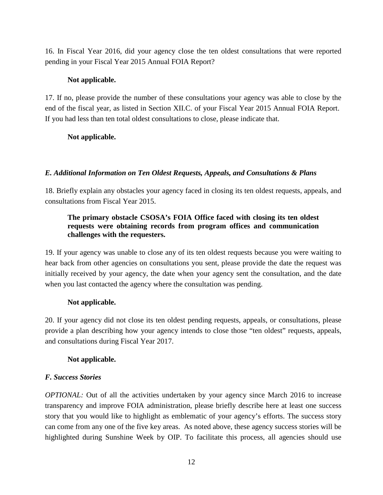16. In Fiscal Year 2016, did your agency close the ten oldest consultations that were reported pending in your Fiscal Year 2015 Annual FOIA Report?

### **Not applicable.**

17. If no, please provide the number of these consultations your agency was able to close by the end of the fiscal year, as listed in Section XII.C. of your Fiscal Year 2015 Annual FOIA Report. If you had less than ten total oldest consultations to close, please indicate that.

### **Not applicable.**

### *E. Additional Information on Ten Oldest Requests, Appeals, and Consultations & Plans*

18. Briefly explain any obstacles your agency faced in closing its ten oldest requests, appeals, and consultations from Fiscal Year 2015.

### **The primary obstacle CSOSA's FOIA Office faced with closing its ten oldest requests were obtaining records from program offices and communication challenges with the requesters.**

19. If your agency was unable to close any of its ten oldest requests because you were waiting to hear back from other agencies on consultations you sent, please provide the date the request was initially received by your agency, the date when your agency sent the consultation, and the date when you last contacted the agency where the consultation was pending.

### **Not applicable.**

20. If your agency did not close its ten oldest pending requests, appeals, or consultations, please provide a plan describing how your agency intends to close those "ten oldest" requests, appeals, and consultations during Fiscal Year 2017.

# **Not applicable.**

# *F. Success Stories*

*OPTIONAL*: Out of all the activities undertaken by your agency since March 2016 to increase transparency and improve FOIA administration, please briefly describe here at least one success story that you would like to highlight as emblematic of your agency's efforts. The success story can come from any one of the five key areas. As noted above, these agency [success stories](http://www.foia.gov/2011foiapost03.html) will be highlighted during Sunshine Week by OIP. To facilitate this process, all agencies should use